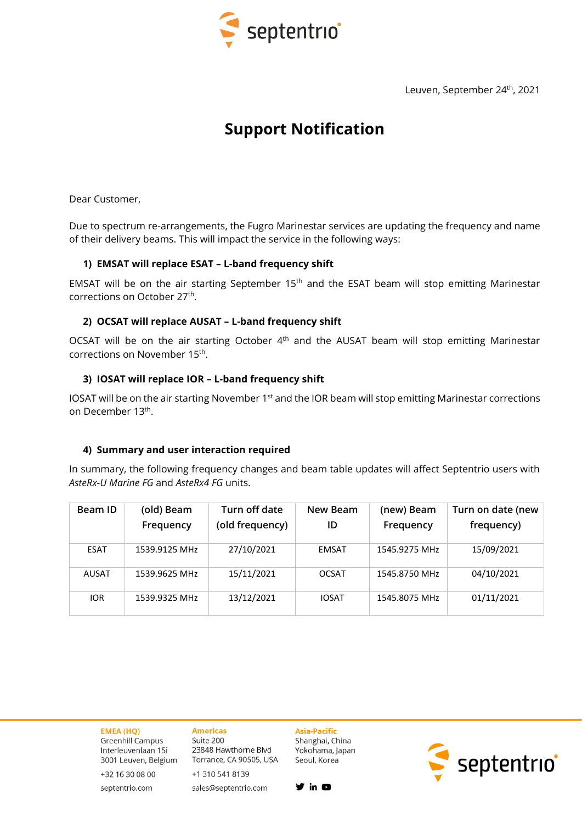

Leuven, September 24<sup>th</sup>, 2021

# **Support Notification**

Dear Customer,

Due to spectrum re-arrangements, the Fugro Marinestar services are updating the frequency and name of their delivery beams. This will impact the service in the following ways:

# **1) EMSAT will replace ESAT – L-band frequency shift**

EMSAT will be on the air starting September 15<sup>th</sup> and the ESAT beam will stop emitting Marinestar corrections on October 27<sup>th</sup>.

## **2) OCSAT will replace AUSAT – L-band frequency shift**

OCSAT will be on the air starting October 4<sup>th</sup> and the AUSAT beam will stop emitting Marinestar corrections on November 15<sup>th</sup>.

## **3) IOSAT will replace IOR – L-band frequency shift**

IOSAT will be on the air starting November 1<sup>st</sup> and the IOR beam will stop emitting Marinestar corrections on December 13<sup>th</sup>.

### **4) Summary and user interaction required**

In summary, the following frequency changes and beam table updates will affect Septentrio users with *AsteRx-U Marine FG* and *AsteRx4 FG* units.

| Beam ID      | (old) Beam<br>Frequency | Turn off date<br>(old frequency) | New Beam<br>ID | (new) Beam<br>Frequency | Turn on date (new<br>frequency) |
|--------------|-------------------------|----------------------------------|----------------|-------------------------|---------------------------------|
| <b>ESAT</b>  | 1539.9125 MHz           | 27/10/2021                       | <b>EMSAT</b>   | 1545.9275 MHz           | 15/09/2021                      |
| <b>AUSAT</b> | 1539.9625 MHz           | 15/11/2021                       | <b>OCSAT</b>   | 1545.8750 MHz           | 04/10/2021                      |
| <b>IOR</b>   | 1539.9325 MHz           | 13/12/2021                       | <b>IOSAT</b>   | 1545.8075 MHz           | 01/11/2021                      |

# **EMEA (HQ)**

Greenhill Campus Interleuvenlaan 15i 3001 Leuven, Belgium

+32 16 30 08 00

septentrio.com

#### **Americas** Suite 200 23848 Hawthorne Blvd

Torrance, CA 90505, USA +1 310 541 8139 sales@septentrio.com

 $y$  in  $Q$ 

**Asia-Pacific** 

Seoul, Korea

Shanghai, China

Yokohama, Japan